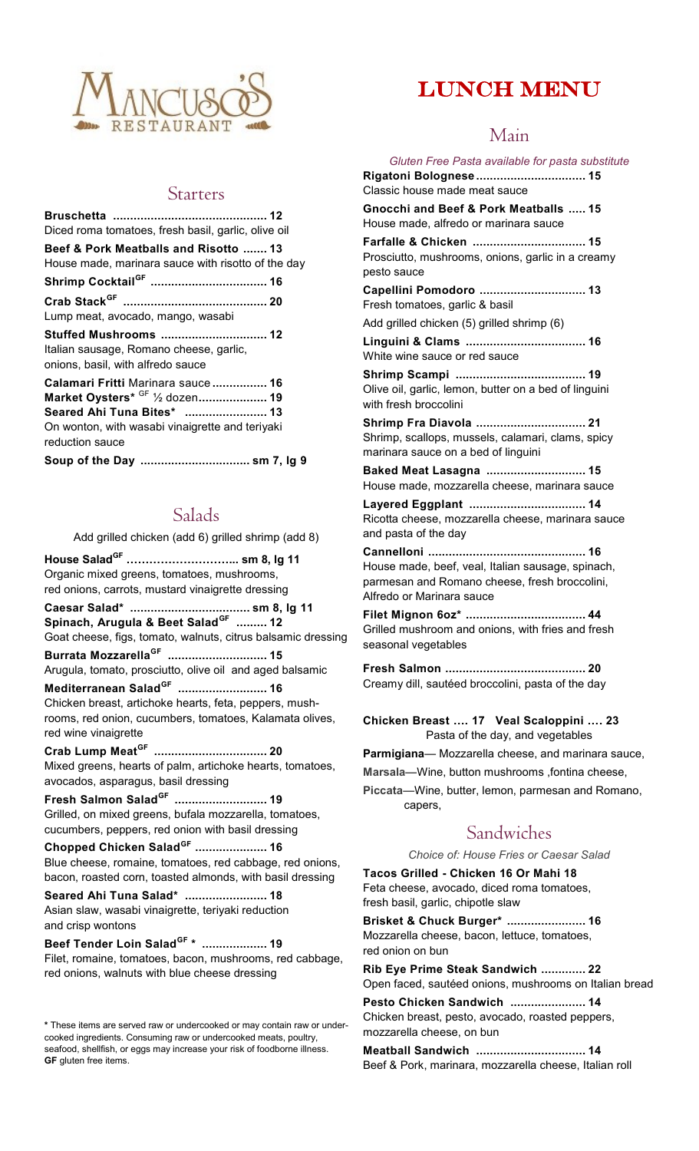

Lump meat, avocado, mango, wasabi

onions, basil, with alfredo sauce

reduction sauce

Starters

# LUNCH MENU

### Main

**Bruschetta ............................................. 12** Diced roma tomatoes, fresh basil, garlic, olive oil **Beef & Pork Meatballs and Risotto ....... 13** House made, marinara sauce with risotto of the day **Shrimp CocktailGF .................................. 16 Crab StackGF .......................................... 20 Stuffed Mushrooms ............................... 12** Italian sausage, Romano cheese, garlic, **Calamari Fritti** Marinara sauce **................ 16 Market Oysters\*** GF ½ dozen**.................... 19 Seared Ahi Tuna Bites\* ........................ 13** On wonton, with wasabi vinaigrette and teriyaki **Soup of the Day ................................ sm 7, lg 9** Classic house made meat sauce House made, alfredo or marinara sauce pesto sauce Fresh tomatoes, garlic & basil Add grilled chicken (5) grilled shrimp (6) White wine sauce or red sauce with fresh broccolini marinara sauce on a bed of linguini

Salads

Add grilled chicken (add 6) grilled shrimp (add 8)

**House SaladGF ………………………... sm 8, lg 11** Organic mixed greens, tomatoes, mushrooms, red onions, carrots, mustard vinaigrette dressing **Caesar Salad\* ................................... sm 8, lg 11 Spinach, Arugula & Beet SaladGF ......... 12** Goat cheese, figs, tomato, walnuts, citrus balsamic dressing **Burrata MozzarellaGF ............................. 15** Arugula, tomato, prosciutto, olive oil and aged balsamic **Mediterranean SaladGF .......................... 16** Chicken breast, artichoke hearts, feta, peppers, mushrooms, red onion, cucumbers, tomatoes, Kalamata olives, red wine vinaigrette

**Crab Lump MeatGF ................................. 20** Mixed greens, hearts of palm, artichoke hearts, tomatoes, avocados, asparagus, basil dressing

**Fresh Salmon SaladGF ........................... 19** Grilled, on mixed greens, bufala mozzarella, tomatoes, cucumbers, peppers, red onion with basil dressing

**Chopped Chicken SaladGF ..................... 16** Blue cheese, romaine, tomatoes, red cabbage, red onions, bacon, roasted corn, toasted almonds, with basil dressing

**Seared Ahi Tuna Salad\* ........................ 18** Asian slaw, wasabi vinaigrette, teriyaki reduction and crisp wontons

**Beef Tender Loin SaladGF \* ................... 19** Filet, romaine, tomatoes, bacon, mushrooms, red cabbage, red onions, walnuts with blue cheese dressing

**\*** These items are served raw or undercooked or may contain raw or undercooked ingredients. Consuming raw or undercooked meats, poultry, seafood, shellfish, or eggs may increase your risk of foodborne illness. **GF** gluten free items.

*Gluten Free Pasta available for pasta substitute* **Rigatoni Bolognese ................................ 15 Gnocchi and Beef & Pork Meatballs ..... 15 Farfalle & Chicken ................................. 15** Prosciutto, mushrooms, onions, garlic in a creamy **Capellini Pomodoro ............................... 13 Linguini & Clams ................................... 16 Shrimp Scampi ...................................... 19** Olive oil, garlic, lemon, butter on a bed of linguini **Shrimp Fra Diavola ................................ 21** Shrimp, scallops, mussels, calamari, clams, spicy **Baked Meat Lasagna ............................. 15** House made, mozzarella cheese, marinara sauce **Layered Eggplant .................................. 14** Ricotta cheese, mozzarella cheese, marinara sauce and pasta of the day **Cannelloni .............................................. 16** House made, beef, veal, Italian sausage, spinach, parmesan and Romano cheese, fresh broccolini, Alfredo or Marinara sauce **Filet Mignon 6oz\* ................................... 44** Grilled mushroom and onions, with fries and fresh seasonal vegetables

**Fresh Salmon ......................................... 20** Creamy dill, sautéed broccolini, pasta of the day

**Chicken Breast …. 17 Veal Scaloppini …. 23** Pasta of the day, and vegetables

**Parmigiana**— Mozzarella cheese, and marinara sauce,

**Marsala**—Wine, button mushrooms ,fontina cheese,

**Piccata**—Wine, butter, lemon, parmesan and Romano, capers,

### Sandwiches

*Choice of: House Fries or Caesar Salad*

**Tacos Grilled - Chicken 16 Or Mahi 18**  Feta cheese, avocado, diced roma tomatoes, fresh basil, garlic, chipotle slaw

**Brisket & Chuck Burger\* ....................... 16** Mozzarella cheese, bacon, lettuce, tomatoes, red onion on bun

**Rib Eye Prime Steak Sandwich ............. 22** Open faced, sautéed onions, mushrooms on Italian bread

**Pesto Chicken Sandwich ...................... 14** Chicken breast, pesto, avocado, roasted peppers, mozzarella cheese, on bun

**Meatball Sandwich ................................ 14** Beef & Pork, marinara, mozzarella cheese, Italian roll